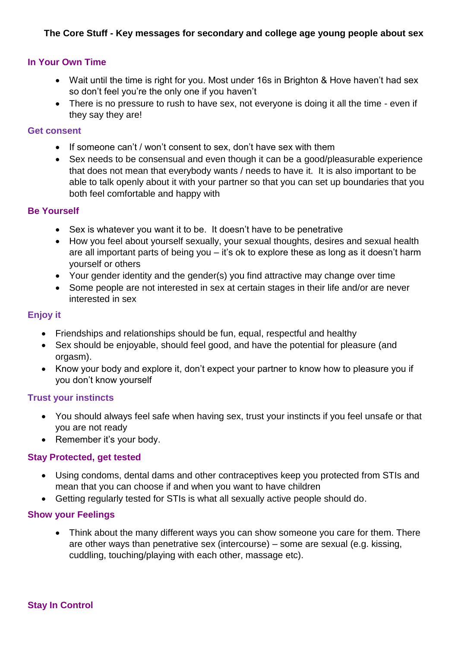### **In Your Own Time**

- Wait until the time is right for you. Most under 16s in Brighton & Hove haven't had sex so don't feel you're the only one if you haven't
- There is no pressure to rush to have sex, not everyone is doing it all the time even if they say they are!

#### **Get consent**

- If someone can't / won't consent to sex, don't have sex with them
- Sex needs to be consensual and even though it can be a good/pleasurable experience that does not mean that everybody wants / needs to have it. It is also important to be able to talk openly about it with your partner so that you can set up boundaries that you both feel comfortable and happy with

#### **Be Yourself**

- Sex is whatever you want it to be. It doesn't have to be penetrative
- How you feel about yourself sexually, your sexual thoughts, desires and sexual health are all important parts of being you – it's ok to explore these as long as it doesn't harm yourself or others
- Your gender identity and the gender(s) you find attractive may change over time
- Some people are not interested in sex at certain stages in their life and/or are never interested in sex

## **Enjoy it**

- Friendships and relationships should be fun, equal, respectful and healthy
- Sex should be enjoyable, should feel good, and have the potential for pleasure (and orgasm).
- Know your body and explore it, don't expect your partner to know how to pleasure you if you don't know yourself

#### **Trust your instincts**

- You should always feel safe when having sex, trust your instincts if you feel unsafe or that you are not ready
- Remember it's your body.

#### **Stay Protected, get tested**

- Using condoms, dental dams and other contraceptives keep you protected from STIs and mean that you can choose if and when you want to have children
- Getting regularly tested for STIs is what all sexually active people should do.

#### **Show your Feelings**

• Think about the many different ways you can show someone you care for them. There are other ways than penetrative sex (intercourse) – some are sexual (e.g. kissing, cuddling, touching/playing with each other, massage etc).